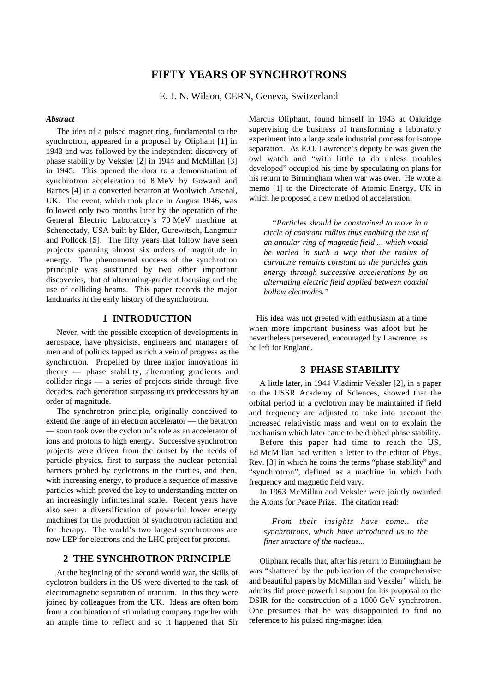# **FIFTY YEARS OF SYNCHROTRONS**

E. J. N. Wilson, CERN, Geneva, Switzerland

#### *Abstract*

The idea of a pulsed magnet ring, fundamental to the synchrotron, appeared in a proposal by Oliphant [1] in 1943 and was followed by the independent discovery of phase stability by Veksler [2] in 1944 and McMillan [3] in 1945. This opened the door to a demonstration of synchrotron acceleration to 8 MeV by Goward and Barnes [4] in a converted betatron at Woolwich Arsenal, UK. The event, which took place in August 1946, was followed only two months later by the operation of the General Electric Laboratory's 70 MeV machine at Schenectady, USA built by Elder, Gurewitsch, Langmuir and Pollock [5]. The fifty years that follow have seen projects spanning almost six orders of magnitude in energy. The phenomenal success of the synchrotron principle was sustained by two other important discoveries, that of alternating-gradient focusing and the use of colliding beams. This paper records the major landmarks in the early history of the synchrotron.

### **1 INTRODUCTION**

Never, with the possible exception of developments in aerospace, have physicists, engineers and managers of men and of politics tapped as rich a vein of progress as the synchrotron. Propelled by three major innovations in theory — phase stability, alternating gradients and collider rings — a series of projects stride through five decades, each generation surpassing its predecessors by an order of magnitude.

The synchrotron principle, originally conceived to extend the range of an electron accelerator — the betatron — soon took over the cyclotron's role as an accelerator of ions and protons to high energy. Successive synchrotron projects were driven from the outset by the needs of particle physics, first to surpass the nuclear potential barriers probed by cyclotrons in the thirties, and then, with increasing energy, to produce a sequence of massive particles which proved the key to understanding matter on an increasingly infinitesimal scale. Recent years have also seen a diversification of powerful lower energy machines for the production of synchrotron radiation and for therapy. The world's two largest synchrotrons are now LEP for electrons and the LHC project for protons.

### **2 THE SYNCHROTRON PRINCIPLE**

At the beginning of the second world war, the skills of cyclotron builders in the US were diverted to the task of electromagnetic separation of uranium. In this they were joined by colleagues from the UK. Ideas are often born from a combination of stimulating company together with an ample time to reflect and so it happened that Sir

Marcus Oliphant, found himself in 1943 at Oakridge supervising the business of transforming a laboratory experiment into a large scale industrial process for isotope separation. As E.O. Lawrence's deputy he was given the owl watch and "with little to do unless troubles developed" occupied his time by speculating on plans for his return to Birmingham when war was over. He wrote a memo [1] to the Directorate of Atomic Energy, UK in which he proposed a new method of acceleration:

*"Particles should be constrained to move in a circle of constant radius thus enabling the use of an annular ring of magnetic field ... which would be varied in such a way that the radius of curvature remains constant as the particles gain energy through successive accelerations by an alternating electric field applied between coaxial hollow electrodes."*

His idea was not greeted with enthusiasm at a time when more important business was afoot but he nevertheless persevered, encouraged by Lawrence, as he left for England.

# **3 PHASE STABILITY**

A little later, in 1944 Vladimir Veksler [2], in a paper to the USSR Academy of Sciences, showed that the orbital period in a cyclotron may be maintained if field and frequency are adjusted to take into account the increased relativistic mass and went on to explain the mechanism which later came to be dubbed phase stability.

Before this paper had time to reach the US, Ed McMillan had written a letter to the editor of Phys. Rev. [3] in which he coins the terms "phase stability" and "synchrotron", defined as a machine in which both frequency and magnetic field vary.

In 1963 McMillan and Veksler were jointly awarded the Atoms for Peace Prize. The citation read:

*From their insights have come.. the synchrotrons, which have introduced us to the finer structure of the nucleus...*

Oliphant recalls that, after his return to Birmingham he was "shattered by the publication of the comprehensive and beautiful papers by McMillan and Veksler" which, he admits did prove powerful support for his proposal to the DSIR for the construction of a 1000 GeV synchrotron. One presumes that he was disappointed to find no reference to his pulsed ring-magnet idea.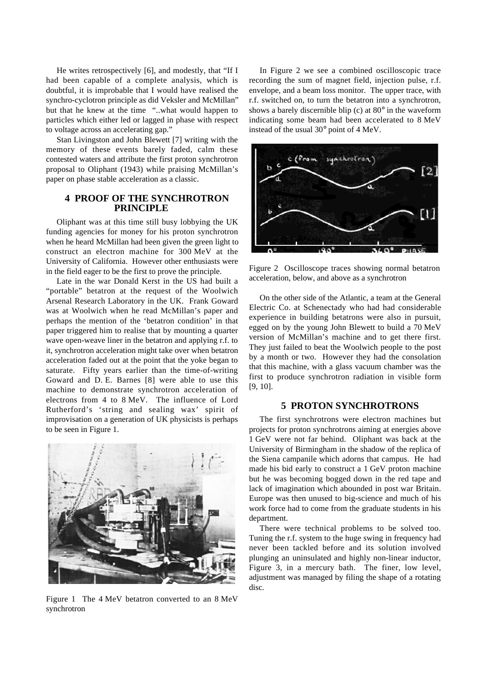He writes retrospectively [6], and modestly, that "If I had been capable of a complete analysis, which is doubtful, it is improbable that I would have realised the synchro-cyclotron principle as did Veksler and McMillan" but that he knew at the time "..what would happen to particles which either led or lagged in phase with respect to voltage across an accelerating gap."

Stan Livingston and John Blewett [7] writing with the memory of these events barely faded, calm these contested waters and attribute the first proton synchrotron proposal to Oliphant (1943) while praising McMillan's paper on phase stable acceleration as a classic.

# **4 PROOF OF THE SYNCHROTRON PRINCIPLE**

Oliphant was at this time still busy lobbying the UK funding agencies for money for his proton synchrotron when he heard McMillan had been given the green light to construct an electron machine for 300 MeV at the University of California. However other enthusiasts were in the field eager to be the first to prove the principle.

Late in the war Donald Kerst in the US had built a "portable" betatron at the request of the Woolwich Arsenal Research Laboratory in the UK. Frank Goward was at Woolwich when he read McMillan's paper and perhaps the mention of the 'betatron condition' in that paper triggered him to realise that by mounting a quarter wave open-weave liner in the betatron and applying r.f. to it, synchrotron acceleration might take over when betatron acceleration faded out at the point that the yoke began to saturate. Fifty years earlier than the time-of-writing Goward and D. E. Barnes [8] were able to use this machine to demonstrate synchrotron acceleration of electrons from 4 to 8 MeV. The influence of Lord Rutherford's 'string and sealing wax' spirit of improvisation on a generation of UK physicists is perhaps to be seen in Figure 1.



Figure 1 The 4 MeV betatron converted to an 8 MeV synchrotron

In Figure 2 we see a combined oscilloscopic trace recording the sum of magnet field, injection pulse, r.f. envelope, and a beam loss monitor. The upper trace, with r.f. switched on, to turn the betatron into a synchrotron, shows a barely discernible blip (c) at 80° in the waveform indicating some beam had been accelerated to 8 MeV instead of the usual 30° point of 4 MeV.



Figure 2 Oscilloscope traces showing normal betatron acceleration, below, and above as a synchrotron

On the other side of the Atlantic, a team at the General Electric Co. at Schenectady who had had considerable experience in building betatrons were also in pursuit, egged on by the young John Blewett to build a 70 MeV version of McMillan's machine and to get there first. They just failed to beat the Woolwich people to the post by a month or two. However they had the consolation that this machine, with a glass vacuum chamber was the first to produce synchrotron radiation in visible form [9, 10].

### **5 PROTON SYNCHROTRONS**

The first synchrotrons were electron machines but projects for proton synchrotrons aiming at energies above 1 GeV were not far behind. Oliphant was back at the University of Birmingham in the shadow of the replica of the Siena campanile which adorns that campus. He had made his bid early to construct a 1 GeV proton machine but he was becoming bogged down in the red tape and lack of imagination which abounded in post war Britain. Europe was then unused to big-science and much of his work force had to come from the graduate students in his department.

There were technical problems to be solved too. Tuning the r.f. system to the huge swing in frequency had never been tackled before and its solution involved plunging an uninsulated and highly non-linear inductor, Figure 3, in a mercury bath. The finer, low level, adjustment was managed by filing the shape of a rotating disc.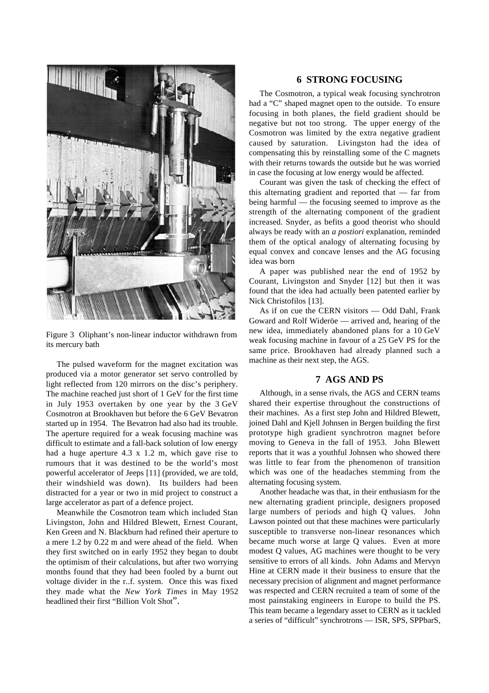

Figure 3 Oliphant's non-linear inductor withdrawn from its mercury bath

The pulsed waveform for the magnet excitation was produced via a motor generator set servo controlled by light reflected from 120 mirrors on the disc's periphery. The machine reached just short of 1 GeV for the first time in July 1953 overtaken by one year by the 3 GeV Cosmotron at Brookhaven but before the 6 GeV Bevatron started up in 1954. The Bevatron had also had its trouble. The aperture required for a weak focusing machine was difficult to estimate and a fall-back solution of low energy had a huge aperture 4.3 x 1.2 m, which gave rise to rumours that it was destined to be the world's most powerful accelerator of Jeeps [11] (provided, we are told, their windshield was down). Its builders had been distracted for a year or two in mid project to construct a large accelerator as part of a defence project.

Meanwhile the Cosmotron team which included Stan Livingston, John and Hildred Blewett, Ernest Courant, Ken Green and N. Blackburn had refined their aperture to a mere 1.2 by 0.22 m and were ahead of the field. When they first switched on in early 1952 they began to doubt the optimism of their calculations, but after two worrying months found that they had been fooled by a burnt out voltage divider in the r..f. system. Once this was fixed they made what the *New York Times* in May 1952 headlined their first "Billion Volt Shot".

# **6 STRONG FOCUSING**

The Cosmotron, a typical weak focusing synchrotron had a "C" shaped magnet open to the outside. To ensure focusing in both planes, the field gradient should be negative but not too strong. The upper energy of the Cosmotron was limited by the extra negative gradient caused by saturation. Livingston had the idea of compensating this by reinstalling some of the C magnets with their returns towards the outside but he was worried in case the focusing at low energy would be affected.

Courant was given the task of checking the effect of this alternating gradient and reported that — far from being harmful — the focusing seemed to improve as the strength of the alternating component of the gradient increased. Snyder, as befits a good theorist who should always be ready with an *a postiori* explanation, reminded them of the optical analogy of alternating focusing by equal convex and concave lenses and the AG focusing idea was born

A paper was published near the end of 1952 by Courant, Livingston and Snyder [12] but then it was found that the idea had actually been patented earlier by Nick Christofilos [13].

As if on cue the CERN visitors — Odd Dahl, Frank Goward and Rolf Wideröe — arrived and, hearing of the new idea, immediately abandoned plans for a 10 GeV weak focusing machine in favour of a 25 GeV PS for the same price. Brookhaven had already planned such a machine as their next step, the AGS.

# **7 AGS AND PS**

Although, in a sense rivals, the AGS and CERN teams shared their expertise throughout the constructions of their machines. As a first step John and Hildred Blewett, joined Dahl and Kjell Johnsen in Bergen building the first prototype high gradient synchrotron magnet before moving to Geneva in the fall of 1953. John Blewett reports that it was a youthful Johnsen who showed there was little to fear from the phenomenon of transition which was one of the headaches stemming from the alternating focusing system.

Another headache was that, in their enthusiasm for the new alternating gradient principle, designers proposed large numbers of periods and high Q values. John Lawson pointed out that these machines were particularly susceptible to transverse non-linear resonances which became much worse at large Q values. Even at more modest Q values, AG machines were thought to be very sensitive to errors of all kinds. John Adams and Mervyn Hine at CERN made it their business to ensure that the necessary precision of alignment and magnet performance was respected and CERN recruited a team of some of the most painstaking engineers in Europe to build the PS. This team became a legendary asset to CERN as it tackled a series of "difficult" synchrotrons — ISR, SPS, SPPbarS,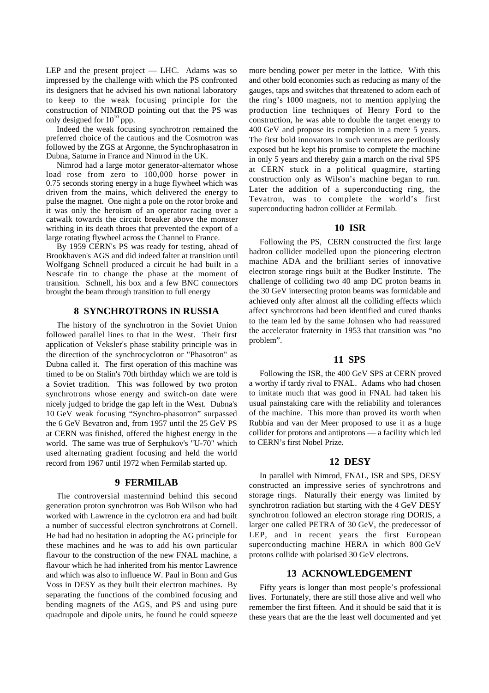LEP and the present project — LHC. Adams was so impressed by the challenge with which the PS confronted its designers that he advised his own national laboratory to keep to the weak focusing principle for the construction of NIMROD pointing out that the PS was only designed for  $10^{10}$  ppp.

Indeed the weak focusing synchrotron remained the preferred choice of the cautious and the Cosmotron was followed by the ZGS at Argonne, the Synchrophasatron in Dubna, Saturne in France and Nimrod in the UK.

Nimrod had a large motor generator-alternator whose load rose from zero to 100,000 horse power in 0.75 seconds storing energy in a huge flywheel which was driven from the mains, which delivered the energy to pulse the magnet. One night a pole on the rotor broke and it was only the heroism of an operator racing over a catwalk towards the circuit breaker above the monster writhing in its death throes that prevented the export of a large rotating flywheel across the Channel to France.

By 1959 CERN's PS was ready for testing, ahead of Brookhaven's AGS and did indeed falter at transition until Wolfgang Schnell produced a circuit he had built in a Nescafe tin to change the phase at the moment of transition. Schnell, his box and a few BNC connectors brought the beam through transition to full energy

### **8 SYNCHROTRONS IN RUSSIA**

The history of the synchrotron in the Soviet Union followed parallel lines to that in the West. Their first application of Veksler's phase stability principle was in the direction of the synchrocyclotron or "Phasotron" as Dubna called it. The first operation of this machine was timed to be on Stalin's 70th birthday which we are told is a Soviet tradition. This was followed by two proton synchrotrons whose energy and switch-on date were nicely judged to bridge the gap left in the West. Dubna's 10 GeV weak focusing "Synchro-phasotron" surpassed the 6 GeV Bevatron and, from 1957 until the 25 GeV PS at CERN was finished, offered the highest energy in the world. The same was true of Serphukov's "U-70" which used alternating gradient focusing and held the world record from 1967 until 1972 when Fermilab started up.

#### **9 FERMILAB**

The controversial mastermind behind this second generation proton synchrotron was Bob Wilson who had worked with Lawrence in the cyclotron era and had built a number of successful electron synchrotrons at Cornell. He had had no hesitation in adopting the AG principle for these machines and he was to add his own particular flavour to the construction of the new FNAL machine, a flavour which he had inherited from his mentor Lawrence and which was also to influence W. Paul in Bonn and Gus Voss in DESY as they built their electron machines. By separating the functions of the combined focusing and bending magnets of the AGS, and PS and using pure quadrupole and dipole units, he found he could squeeze more bending power per meter in the lattice. With this and other bold economies such as reducing as many of the gauges, taps and switches that threatened to adorn each of the ring's 1000 magnets, not to mention applying the production line techniques of Henry Ford to the construction, he was able to double the target energy to 400 GeV and propose its completion in a mere 5 years. The first bold innovators in such ventures are perilously exposed but he kept his promise to complete the machine in only 5 years and thereby gain a march on the rival SPS at CERN stuck in a political quagmire, starting construction only as Wilson's machine began to run. Later the addition of a superconducting ring, the Tevatron, was to complete the world's first superconducting hadron collider at Fermilab.

### **10 ISR**

Following the PS, CERN constructed the first large hadron collider modelled upon the pioneering electron machine ADA and the brilliant series of innovative electron storage rings built at the Budker Institute. The challenge of colliding two 40 amp DC proton beams in the 30 GeV intersecting proton beams was formidable and achieved only after almost all the colliding effects which affect synchrotrons had been identified and cured thanks to the team led by the same Johnsen who had reassured the accelerator fraternity in 1953 that transition was "no problem".

### **11 SPS**

Following the ISR, the 400 GeV SPS at CERN proved a worthy if tardy rival to FNAL. Adams who had chosen to imitate much that was good in FNAL had taken his usual painstaking care with the reliability and tolerances of the machine. This more than proved its worth when Rubbia and van der Meer proposed to use it as a huge collider for protons and antiprotons — a facility which led to CERN's first Nobel Prize.

### **12 DESY**

In parallel with Nimrod, FNAL, ISR and SPS, DESY constructed an impressive series of synchrotrons and storage rings. Naturally their energy was limited by synchrotron radiation but starting with the 4 GeV DESY synchrotron followed an electron storage ring DORIS, a larger one called PETRA of 30 GeV, the predecessor of LEP, and in recent years the first European superconducting machine HERA in which 800 GeV protons collide with polarised 30 GeV electrons.

### **13 ACKNOWLEDGEMENT**

Fifty years is longer than most people's professional lives. Fortunately, there are still those alive and well who remember the first fifteen. And it should be said that it is these years that are the the least well documented and yet